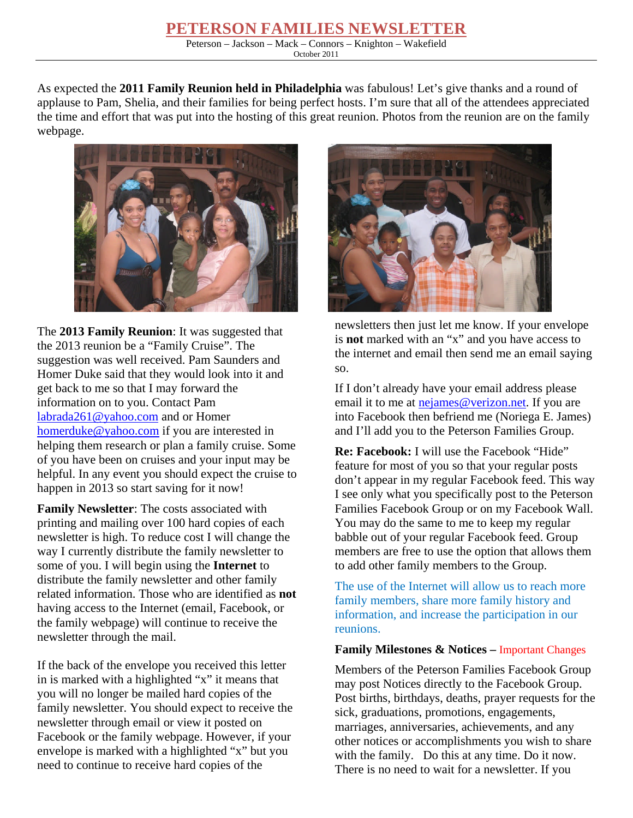## **PETERSON FAMILIES NEWSLETTER**

Peterson – Jackson – Mack – Connors – Knighton – Wakefield October 2011

As expected the **2011 Family Reunion held in Philadelphia** was fabulous! Let's give thanks and a round of applause to Pam, Shelia, and their families for being perfect hosts. I'm sure that all of the attendees appreciated the time and effort that was put into the hosting of this great reunion. Photos from the reunion are on the family webpage.



The **2013 Family Reunion**: It was suggested that the 2013 reunion be a "Family Cruise". The suggestion was well received. Pam Saunders and Homer Duke said that they would look into it and get back to me so that I may forward the information on to you. Contact Pam labrada261@yahoo.com and or Homer homerduke@yahoo.com if you are interested in helping them research or plan a family cruise. Some of you have been on cruises and your input may be helpful. In any event you should expect the cruise to happen in 2013 so start saving for it now!

**Family Newsletter**: The costs associated with printing and mailing over 100 hard copies of each newsletter is high. To reduce cost I will change the way I currently distribute the family newsletter to some of you. I will begin using the **Internet** to distribute the family newsletter and other family related information. Those who are identified as **not** having access to the Internet (email, Facebook, or the family webpage) will continue to receive the newsletter through the mail.

If the back of the envelope you received this letter in is marked with a highlighted "x" it means that you will no longer be mailed hard copies of the family newsletter. You should expect to receive the newsletter through email or view it posted on Facebook or the family webpage. However, if your envelope is marked with a highlighted "x" but you need to continue to receive hard copies of the



newsletters then just let me know. If your envelope is **not** marked with an "x" and you have access to the internet and email then send me an email saying so.

If I don't already have your email address please email it to me at nejames@verizon.net. If you are into Facebook then befriend me (Noriega E. James) and I'll add you to the Peterson Families Group.

**Re: Facebook:** I will use the Facebook "Hide" feature for most of you so that your regular posts don't appear in my regular Facebook feed. This way I see only what you specifically post to the Peterson Families Facebook Group or on my Facebook Wall. You may do the same to me to keep my regular babble out of your regular Facebook feed. Group members are free to use the option that allows them to add other family members to the Group.

The use of the Internet will allow us to reach more family members, share more family history and information, and increase the participation in our reunions.

## **Family Milestones & Notices –** Important Changes

Members of the Peterson Families Facebook Group may post Notices directly to the Facebook Group. Post births, birthdays, deaths, prayer requests for the sick, graduations, promotions, engagements, marriages, anniversaries, achievements, and any other notices or accomplishments you wish to share with the family. Do this at any time. Do it now. There is no need to wait for a newsletter. If you